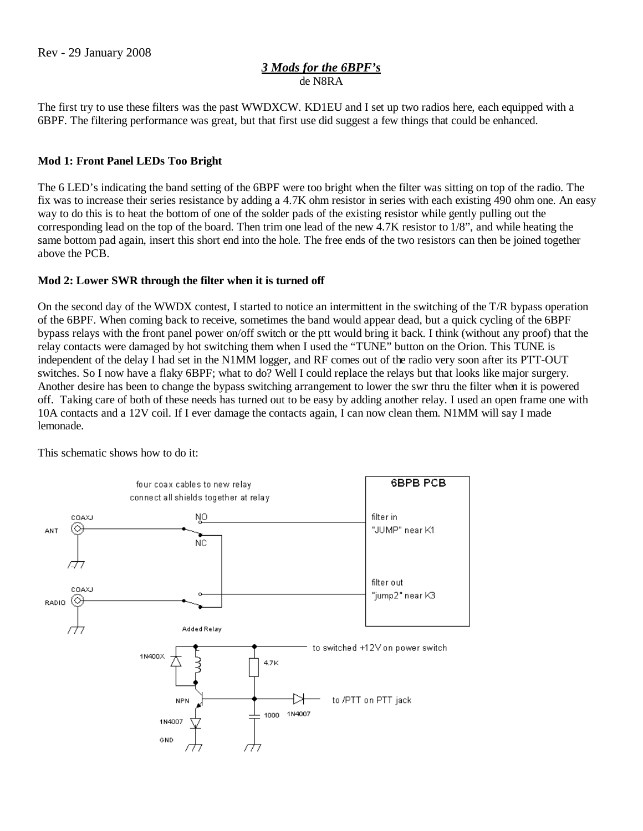## *3 Mods for the 6BPF's* de N8RA

The first try to use these filters was the past WWDXCW. KD1EU and I set up two radios here, each equipped with a 6BPF. The filtering performance was great, but that first use did suggest a few things that could be enhanced.

## **Mod 1: Front Panel LEDs Too Bright**

The 6 LED's indicating the band setting of the 6BPF were too bright when the filter was sitting on top of the radio. The fix was to increase their series resistance by adding a 4.7K ohm resistor in series with each existing 490 ohm one. An easy way to do this is to heat the bottom of one of the solder pads of the existing resistor while gently pulling out the corresponding lead on the top of the board. Then trim one lead of the new 4.7K resistor to 1/8", and while heating the same bottom pad again, insert this short end into the hole. The free ends of the two resistors can then be joined together above the PCB.

## **Mod 2: Lower SWR through the filter when it is turned off**

On the second day of the WWDX contest, I started to notice an intermittent in the switching of the T/R bypass operation of the 6BPF. When coming back to receive, sometimes the band would appear dead, but a quick cycling of the 6BPF bypass relays with the front panel power on/off switch or the ptt would bring it back. I think (without any proof) that the relay contacts were damaged by hot switching them when I used the "TUNE" button on the Orion. This TUNE is independent of the delay I had set in the N1MM logger, and RF comes out of the radio very soon after its PTT-OUT switches. So I now have a flaky 6BPF; what to do? Well I could replace the relays but that looks like major surgery. Another desire has been to change the bypass switching arrangement to lower the swr thru the filter when it is powered off. Taking care of both of these needs has turned out to be easy by adding another relay. I used an open frame one with 10A contacts and a 12V coil. If I ever damage the contacts again, I can now clean them. N1MM will say I made lemonade.

This schematic shows how to do it: